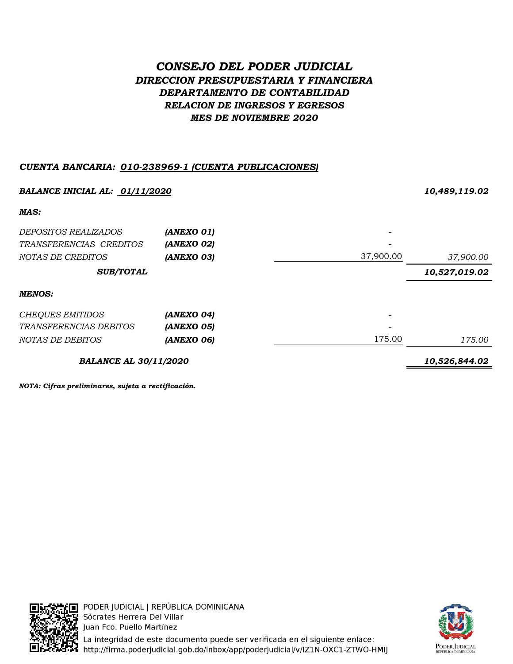# CONSEJO DEL PODER JUDICIAL DIRECCION PRESUPUESTARIA Y FINANCIERA DEPARTAMENTO DE CONTABILIDAD RELACION DE INGRESOS Y EGRESOS MES DE NOVIEMBRE 2020

## CUENTA BANCARIA: 010-238969-1 (CUENTA PUBLICACIONES)

| BALANCE INICIAL AL: 01/11/2020 |            |           | 10,489,119.02 |
|--------------------------------|------------|-----------|---------------|
| MAS:                           |            |           |               |
| <i>DEPOSITOS REALIZADOS</i>    | (ANEXO 01) |           |               |
| TRANSFERENCIAS CREDITOS        | (ANEXO 02) |           |               |
| NOTAS DE CREDITOS              | (ANEXO 03) | 37,900.00 | 37,900.00     |
| <b>SUB/TOTAL</b>               |            |           | 10,527,019.02 |
| <b>MENOS:</b>                  |            |           |               |
| <b>CHEQUES EMITIDOS</b>        | (ANEXO 04) |           |               |
| <i>TRANSFERENCIAS DEBITOS</i>  | (ANEXO 05) |           |               |
| NOTAS DE DEBITOS               | (ANEXO 06) | 175.00    | 175.00        |
| <b>BALANCE AL 30/11/2020</b>   |            |           | 10,526,844.02 |

NOTA: Cifras preliminares, sujeta a rectificación.



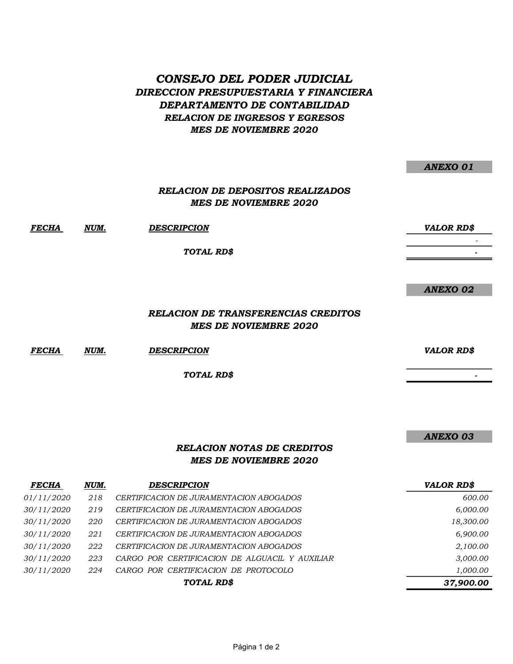# CONSEJO DEL PODER JUDICIAL DIRECCION PRESUPUESTARIA Y FINANCIERA DEPARTAMENTO DE CONTABILIDAD RELACION DE INGRESOS Y EGRESOS MES DE NOVIEMBRE 2020

|       |      |                                                                            | <b>ANEXO 01</b>   |
|-------|------|----------------------------------------------------------------------------|-------------------|
|       |      | <b>RELACION DE DEPOSITOS REALIZADOS</b><br><b>MES DE NOVIEMBRE 2020</b>    |                   |
| FECHA | NUM. | <b>DESCRIPCION</b>                                                         | <b>VALOR RD\$</b> |
|       |      | TOTAL RD\$                                                                 |                   |
|       |      |                                                                            | <b>ANEXO 02</b>   |
|       |      | <b>RELACION DE TRANSFERENCIAS CREDITOS</b><br><b>MES DE NOVIEMBRE 2020</b> |                   |

FECHA NUM. DESCRIPCION VALOR RD\$

TOTAL RD\$

ANEXO 03

- 1990)<br>1990 - Paul Barnett, politik amerikansk politik<br>1990 - Paul Barnett, politik amerikansk politik († 1900)

## RELACION NOTAS DE CREDITOS MES DE NOVIEMBRE 2020

| <b>FECHA</b> | NUM. | <b>DESCRIPCION</b>                             | <b>VALOR RD\$</b> |
|--------------|------|------------------------------------------------|-------------------|
| 01/11/2020   | 218  | CERTIFICACION DE JURAMENTACION ABOGADOS        | 600.00            |
| 30/11/2020   | 219  | CERTIFICACION DE JURAMENTACION ABOGADOS        | 6,000.00          |
| 30/11/2020   | 220  | CERTIFICACION DE JURAMENTACION ABOGADOS        | 18,300.00         |
| 30/11/2020   | 221  | CERTIFICACION DE JURAMENTACION ABOGADOS        | 6,900.00          |
| 30/11/2020   | 222  | CERTIFICACION DE JURAMENTACION ABOGADOS        | 2,100.00          |
| 30/11/2020   | 223  | CARGO POR CERTIFICACION DE ALGUACIL Y AUXILIAR | 3,000.00          |
| 30/11/2020   | 224  | CARGO POR CERTIFICACION DE PROTOCOLO           | 1,000.00          |
|              |      | TOTAL RD\$                                     | 37,900.00         |